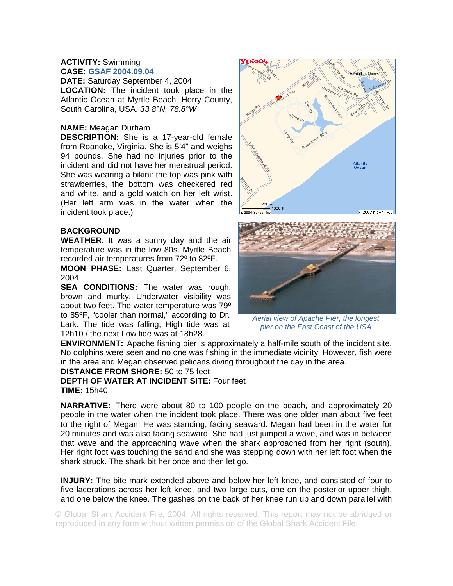# **ACTIVITY:** Swimming **CASE: GSAF 2004.09.04**

**DATE:** Saturday September 4, 2004 **LOCATION:** The incident took place in the Atlantic Ocean at Myrtle Beach, Horry County, South Carolina, USA. *33.8°N, 78.8°W* 

### **NAME:** Meagan Durham

**DESCRIPTION:** She is a 17-year-old female from Roanoke, Virginia. She is 5'4" and weighs 94 pounds. She had no injuries prior to the incident and did not have her menstrual period. She was wearing a bikini: the top was pink with strawberries, the bottom was checkered red and white, and a gold watch on her left wrist. (Her left arm was in the water when the incident took place.)

# **BACKGROUND**

**WEATHER**: It was a sunny day and the air temperature was in the low 80s. Myrtle Beach recorded air temperatures from 72º to 82ºF.

**MOON PHASE:** Last Quarter, September 6, 2004

**SEA CONDITIONS:** The water was rough, brown and murky. Underwater visibility was about two feet. The water temperature was 79º to 85ºF, "cooler than normal," according to Dr. Lark. The tide was falling; High tide was at 12h10 / the next Low tide was at 18h28.





*Aerial view of Apache Pier, the longest pier on the East Coast of the USA* 

**ENVIRONMENT:** Apache fishing pier is approximately a half-mile south of the incident site. No dolphins were seen and no one was fishing in the immediate vicinity. However, fish were in the area and Megan observed pelicans diving throughout the day in the area.

#### **DISTANCE FROM SHORE:** 50 to 75 feet

**DEPTH OF WATER AT INCIDENT SITE:** Four feet **TIME:** 15h40

**NARRATIVE:** There were about 80 to 100 people on the beach, and approximately 20 people in the water when the incident took place. There was one older man about five feet to the right of Megan. He was standing, facing seaward. Megan had been in the water for 20 minutes and was also facing seaward. She had just jumped a wave, and was in between that wave and the approaching wave when the shark approached from her right (south). Her right foot was touching the sand and she was stepping down with her left foot when the shark struck. The shark bit her once and then let go.

**INJURY:** The bite mark extended above and below her left knee, and consisted of four to five lacerations across her left knee, and two large cuts, one on the posterior upper thigh, and one below the knee. The gashes on the back of her knee run up and down parallel with

© Global Shark Accident File, 2004. All rights reserved. This report may not be abridged or reproduced in any form without written permission of the Global Shark Accident File.